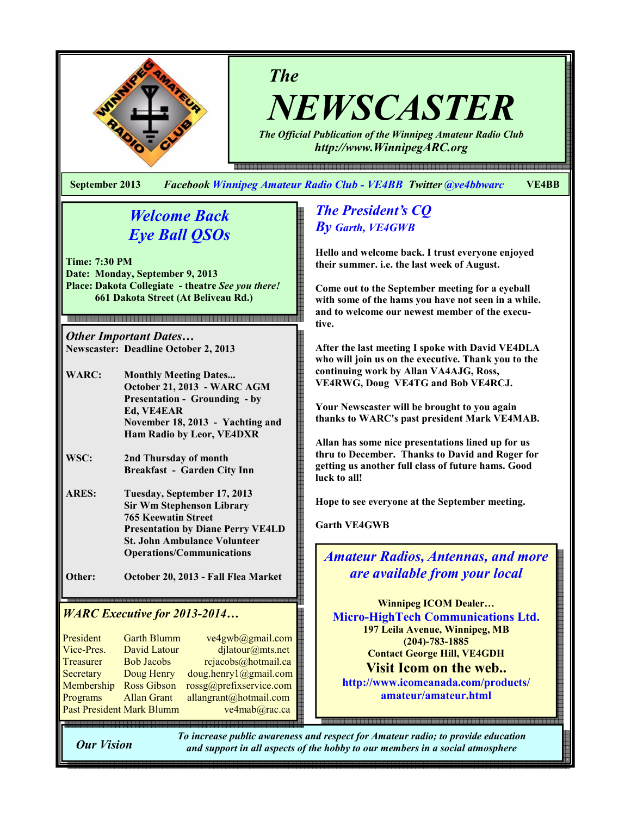

The

NEWSCASTER

The Official Publication of the Winnipeg Amateur Radio Club http://www.WinnipegARC.org

e 1990 이 1990 이 1990 이 1990 이 1990 이 1990 이 1990 이 1990 이 1990 이 1990 이 1990 이 1990 이 1990 이 1990 이 1990 이 1990 이 1990 이 1990 이 1990 이 1990 이 1990 이 1990 이 1990 이 1990 이 1990 이 1990 이 1990 이 1990 이 1990 이 1990 이 1990 이 19

September 2013 Facebook Winnipeg Amateur Radio Club - VE4BB Twitter @ve4bbwarc VE4BB

# Welcome Back Eye Ball QSOs

Time: 7:30 PM Date: Monday, September 9, 2013 Place: Dakota Collegiate - theatre See you there! 661 Dakota Street (At Beliveau Rd.)

Other Important Dates… Newscaster: Deadline October 2, 2013

- WARC: Monthly Meeting Dates... October 21, 2013 - WARC AGM Presentation - Grounding - by Ed, VE4EAR November 18, 2013 - Yachting and Ham Radio by Leor, VE4DXR
- WSC: 2nd Thursday of month Breakfast - Garden City Inn
- ARES: Tuesday, September 17, 2013 Sir Wm Stephenson Library 765 Keewatin Street Presentation by Diane Perry VE4LD St. John Ambulance Volunteer Operations/Communications
- Other: October 20, 2013 Fall Flea Market

# WARC Executive for 2013-2014…

| President                        | <b>Garth Blumm</b> | ve4gwb@gmail.com        |
|----------------------------------|--------------------|-------------------------|
| Vice-Pres.                       | David Latour       | djlatour@mts.net        |
| Treasurer                        | <b>Bob Jacobs</b>  | rejacobs@hotmail.ca     |
| Secretary                        | Doug Henry         | doug.henry1@gmail.com   |
| Membership                       | <b>Ross Gibson</b> | rossg@prefixservice.com |
| Programs                         | <b>Allan Grant</b> | allangrant@hotmail.com  |
| <b>Past President Mark Blumm</b> |                    | ve4mab@rac.ca           |
|                                  |                    |                         |

# The President's CQ By Garth, VE4GWB

Hello and welcome back. I trust everyone enjoyed their summer. i.e. the last week of August.

Come out to the September meeting for a eyeball with some of the hams you have not seen in a while. and to welcome our newest member of the executive.

After the last meeting I spoke with David VE4DLA who will join us on the executive. Thank you to the continuing work by Allan VA4AJG, Ross, VE4RWG, Doug VE4TG and Bob VE4RCJ.

Your Newscaster will be brought to you again thanks to WARC's past president Mark VE4MAB.

Allan has some nice presentations lined up for us thru to December. Thanks to David and Roger for getting us another full class of future hams. Good luck to all!

Hope to see everyone at the September meeting.

Garth VE4GWB

Amateur Radios, Antennas, and more are available from your local

Winnipeg ICOM Dealer… Micro-HighTech Communications Ltd. 197 Leila Avenue, Winnipeg, MB (204)-783-1885 Contact George Hill, VE4GDH Visit Icom on the web.. http://www.icomcanada.com/products/

amateur/amateur.html

Our Vision

To increase public awareness and respect for Amateur radio; to provide education and support in all aspects of the hobby to our members in a social atmosphere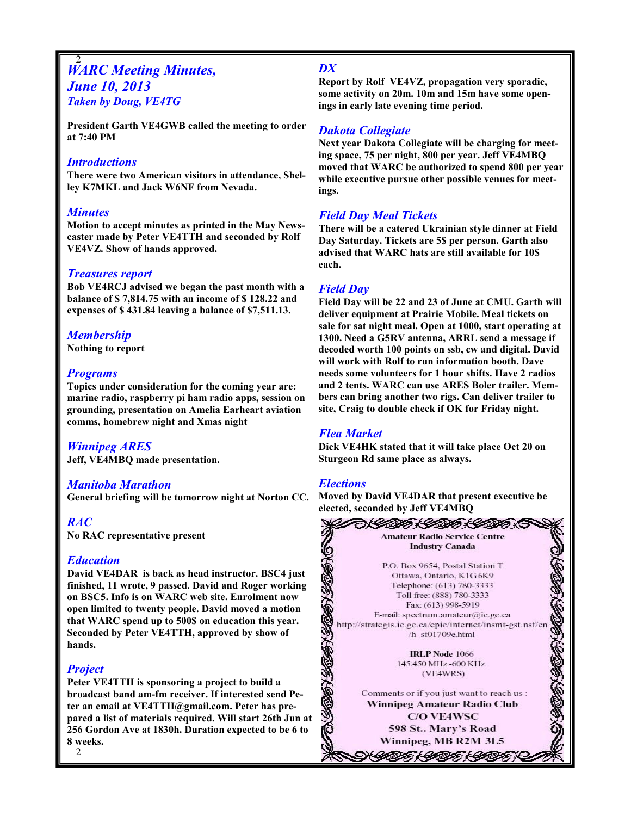### 2 **WARC Meeting Minutes,** June 10, 2013 Taken by Doug, VE4TG

President Garth VE4GWB called the meeting to order at 7:40 PM

### **Introductions**

There were two American visitors in attendance, Shelley K7MKL and Jack W6NF from Nevada.

### **Minutes**

Motion to accept minutes as printed in the May Newscaster made by Peter VE4TTH and seconded by Rolf VE4VZ. Show of hands approved.

### Treasures report

Bob VE4RCJ advised we began the past month with a balance of \$ 7,814.75 with an income of \$ 128.22 and expenses of \$ 431.84 leaving a balance of \$7,511.13.

# Membership

Nothing to report

## **Programs**

Topics under consideration for the coming year are: marine radio, raspberry pi ham radio apps, session on grounding, presentation on Amelia Earheart aviation comms, homebrew night and Xmas night

## Winnipeg ARES

Jeff, VE4MBQ made presentation.

#### Manitoba Marathon

General briefing will be tomorrow night at Norton CC.

## RAC

No RAC representative present

## Education

David VE4DAR is back as head instructor. BSC4 just finished, 11 wrote, 9 passed. David and Roger working on BSC5. Info is on WARC web site. Enrolment now open limited to twenty people. David moved a motion that WARC spend up to 500\$ on education this year. Seconded by Peter VE4TTH, approved by show of hands.

## **Project**

Peter VE4TTH is sponsoring a project to build a broadcast band am-fm receiver. If interested send Peter an email at VE4TTH@gmail.com. Peter has prepared a list of materials required. Will start 26th Jun at 256 Gordon Ave at 1830h. Duration expected to be 6 to 8 weeks.

### DX

Report by Rolf VE4VZ, propagation very sporadic, some activity on 20m. 10m and 15m have some openings in early late evening time period.

## Dakota Collegiate

Next year Dakota Collegiate will be charging for meeting space, 75 per night, 800 per year. Jeff VE4MBQ moved that WARC be authorized to spend 800 per year while executive pursue other possible venues for meetings.

# Field Day Meal Tickets

There will be a catered Ukrainian style dinner at Field Day Saturday. Tickets are 5\$ per person. Garth also advised that WARC hats are still available for 10\$ each.

## Field Day

Field Day will be 22 and 23 of June at CMU. Garth will deliver equipment at Prairie Mobile. Meal tickets on sale for sat night meal. Open at 1000, start operating at 1300. Need a G5RV antenna, ARRL send a message if decoded worth 100 points on ssb, cw and digital. David will work with Rolf to run information booth. Dave needs some volunteers for 1 hour shifts. Have 2 radios and 2 tents. WARC can use ARES Boler trailer. Members can bring another two rigs. Can deliver trailer to site, Craig to double check if OK for Friday night.

# Flea Market

Dick VE4HK stated that it will take place Oct 20 on Sturgeon Rd same place as always.

#### **Elections**

Moved by David VE4DAR that present executive be

elected, seconded by Jeff VE4MBQ<br>
Amateur Radio Service Centre<br>
Industry Canada<br>
P.O. Box 9654, Postal Station T<br>
Ottawa, Ontario, K1G 6K9<br>
Telephone: (613) 780-3333<br>
Toll free: (888) 780-3333<br>
Toll free: (888) 780-3333<br>
T http://strategis.ic.gc.ca/epic/internet/insmt-gst.nsf/en

Winnipeg, MB R2M 3L5

NII (II HII KOOK

2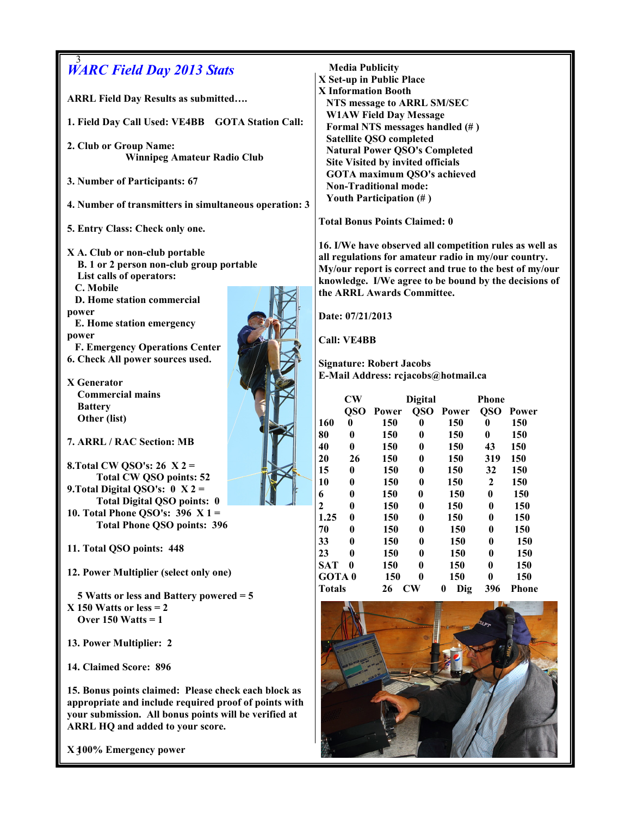| 3<br><b>WARC Field Day 2013 Stats</b>                  |  |                                                                                     |                                                                                      | <b>Media Publicity</b> |                                      |                                     |                  |            |  |
|--------------------------------------------------------|--|-------------------------------------------------------------------------------------|--------------------------------------------------------------------------------------|------------------------|--------------------------------------|-------------------------------------|------------------|------------|--|
| <b>ARRL Field Day Results as submitted</b>             |  |                                                                                     | X Set-up in Public Place<br><b>X</b> Information Booth<br>NTS message to ARRL SM/SEC |                        |                                      |                                     |                  |            |  |
| 1. Field Day Call Used: VE4BB GOTA Station Call:       |  |                                                                                     | <b>W1AW Field Day Message</b><br>Formal NTS messages handled (#)                     |                        |                                      |                                     |                  |            |  |
| 2. Club or Group Name:                                 |  | <b>Satellite QSO completed</b><br><b>Natural Power QSO's Completed</b>              |                                                                                      |                        |                                      |                                     |                  |            |  |
| <b>Winnipeg Amateur Radio Club</b>                     |  | Site Visited by invited officials                                                   |                                                                                      |                        |                                      |                                     |                  |            |  |
| 3. Number of Participants: 67                          |  |                                                                                     | <b>GOTA</b> maximum QSO's achieved<br><b>Non-Traditional mode:</b>                   |                        |                                      |                                     |                  |            |  |
| 4. Number of transmitters in simultaneous operation: 3 |  |                                                                                     | Youth Participation (#)                                                              |                        |                                      |                                     |                  |            |  |
| 5. Entry Class: Check only one.                        |  |                                                                                     | <b>Total Bonus Points Claimed: 0</b>                                                 |                        |                                      |                                     |                  |            |  |
| X A. Club or non-club portable                         |  | 16. I/We have observed all competition rules as well as                             |                                                                                      |                        |                                      |                                     |                  |            |  |
| B. 1 or 2 person non-club group portable               |  | all regulations for amateur radio in my/our country.                                |                                                                                      |                        |                                      |                                     |                  |            |  |
| List calls of operators:                               |  | My/our report is correct and true to the best of my/our                             |                                                                                      |                        |                                      |                                     |                  |            |  |
| C. Mobile                                              |  | knowledge. I/We agree to be bound by the decisions of<br>the ARRL Awards Committee. |                                                                                      |                        |                                      |                                     |                  |            |  |
| D. Home station commercial                             |  |                                                                                     |                                                                                      |                        |                                      |                                     |                  |            |  |
| power                                                  |  |                                                                                     | Date: 07/21/2013                                                                     |                        |                                      |                                     |                  |            |  |
| E. Home station emergency                              |  |                                                                                     |                                                                                      |                        |                                      |                                     |                  |            |  |
| power                                                  |  |                                                                                     | <b>Call: VE4BB</b>                                                                   |                        |                                      |                                     |                  |            |  |
| <b>F. Emergency Operations Center</b>                  |  |                                                                                     |                                                                                      |                        |                                      |                                     |                  |            |  |
| 6. Check All power sources used.                       |  | <b>Signature: Robert Jacobs</b>                                                     |                                                                                      |                        |                                      |                                     |                  |            |  |
|                                                        |  |                                                                                     |                                                                                      |                        |                                      | E-Mail Address: rcjacobs@hotmail.ca |                  |            |  |
| X Generator                                            |  |                                                                                     |                                                                                      |                        |                                      |                                     |                  |            |  |
| <b>Commercial mains</b>                                |  |                                                                                     | $\mathbf{C}\mathbf{W}$                                                               |                        | <b>Digital</b>                       |                                     | <b>Phone</b>     |            |  |
| <b>Battery</b><br>Other (list)                         |  |                                                                                     |                                                                                      | QSO Power              |                                      | QSO Power                           |                  | QSO Power  |  |
|                                                        |  | 160                                                                                 | $\bf{0}$                                                                             | 150                    | $\bf{0}$                             | 150                                 | $\bf{0}$         | 150        |  |
| 7. ARRL / RAC Section: MB                              |  | 80                                                                                  | $\boldsymbol{0}$                                                                     | 150                    | 0                                    | 150                                 | $\mathbf{0}$     | 150        |  |
|                                                        |  | 40                                                                                  | $\bf{0}$                                                                             | 150                    | $\bf{0}$                             | 150                                 | 43               | 150        |  |
| 8. Total CW QSO's: 26 $X$ 2 =                          |  | 20<br>15                                                                            | 26                                                                                   | 150<br>150             | $\boldsymbol{0}$                     | 150                                 | 319<br>32        | 150        |  |
| <b>Total CW QSO points: 52</b>                         |  | 10                                                                                  | 0<br>0                                                                               | 150                    | $\boldsymbol{0}$<br>$\boldsymbol{0}$ | 150<br>150                          | $\overline{2}$   | 150<br>150 |  |
| 9. Total Digital QSO's: $0 \text{ X } 2 =$             |  | 6                                                                                   | 0                                                                                    | 150                    | $\bf{0}$                             | 150                                 | $\bf{0}$         | 150        |  |
| <b>Total Digital QSO points: 0</b>                     |  | $\overline{2}$                                                                      | 0                                                                                    | 150                    | $\boldsymbol{0}$                     | 150                                 | $\bf{0}$         | 150        |  |
| 10. Total Phone QSO's: $396 \text{ X } 1 =$            |  | 1.25                                                                                | $\boldsymbol{0}$                                                                     | 150                    | 0                                    | 150                                 | $\bf{0}$         | 150        |  |
| <b>Total Phone QSO points: 396</b>                     |  | 70                                                                                  | $\bf{0}$                                                                             | 150                    | 0                                    | 150                                 | 0                | 150        |  |
|                                                        |  | 33                                                                                  | 0                                                                                    | 150                    | 0                                    | 150                                 | 0                | 150        |  |
| 11. Total QSO points: 448                              |  | 23                                                                                  | $\bf{0}$                                                                             | 150                    | 0                                    | 150                                 | 0                | 150        |  |
| 12. Power Multiplier (select only one)                 |  | <b>SAT</b>                                                                          | $\bf{0}$                                                                             | 150                    | 0                                    | 150                                 | 0                | 150        |  |
|                                                        |  | GOTA <sub>0</sub>                                                                   |                                                                                      | 150                    | 0                                    | 150                                 | $\boldsymbol{0}$ | 150        |  |
| 5 Watts or less and Battery powered $=$ 5              |  | <b>Totals</b>                                                                       |                                                                                      | 26                     | $\mathbf{C}\mathbf{W}$               | Dig<br>$\bf{0}$                     | 396              | Phone      |  |
| $X$ 150 Watts or less = 2                              |  |                                                                                     |                                                                                      |                        |                                      |                                     |                  |            |  |
| Over $150$ Watts = 1                                   |  |                                                                                     |                                                                                      |                        |                                      |                                     |                  |            |  |
|                                                        |  |                                                                                     |                                                                                      |                        |                                      |                                     |                  |            |  |
| 13. Power Multiplier: 2                                |  |                                                                                     |                                                                                      |                        |                                      |                                     |                  |            |  |
|                                                        |  |                                                                                     |                                                                                      |                        |                                      |                                     |                  |            |  |
| 14. Claimed Score: 896                                 |  |                                                                                     |                                                                                      |                        |                                      |                                     |                  |            |  |
|                                                        |  |                                                                                     |                                                                                      |                        |                                      |                                     |                  |            |  |
| 15. Bonus points claimed: Please check each block as   |  |                                                                                     |                                                                                      |                        |                                      |                                     |                  |            |  |
| appropriate and include required proof of points with  |  |                                                                                     |                                                                                      |                        |                                      |                                     |                  |            |  |
| your submission. All bonus points will be verified at  |  |                                                                                     |                                                                                      |                        |                                      |                                     |                  |            |  |
| ARRL HQ and added to your score.                       |  |                                                                                     |                                                                                      |                        |                                      |                                     |                  |            |  |

ŗ,

3 X 100% Emergency power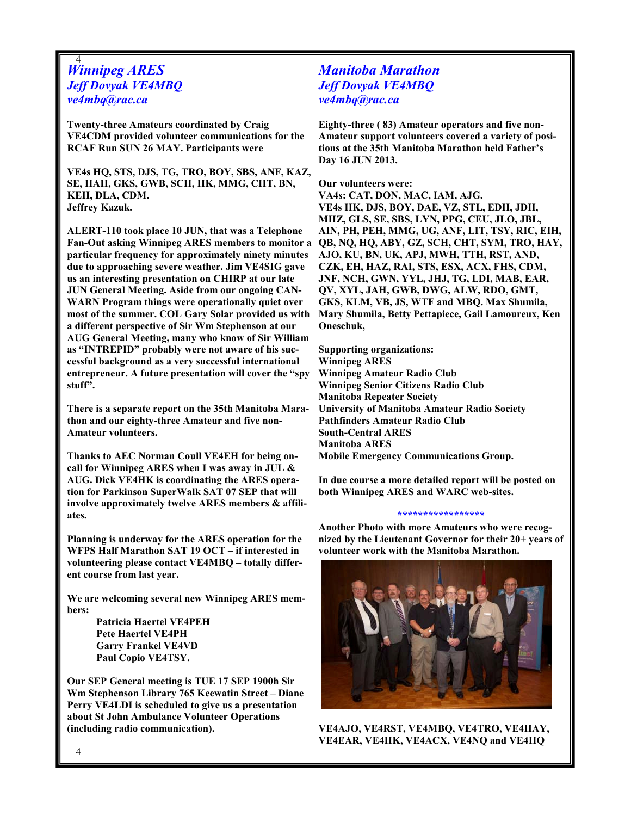#### 4 Winnipeg ARES Jeff Dovyak VE4MBQ ve4mbq@rac.ca

Twenty-three Amateurs coordinated by Craig VE4CDM provided volunteer communications for the RCAF Run SUN 26 MAY. Participants were

VE4s HQ, STS, DJS, TG, TRO, BOY, SBS, ANF, KAZ, SE, HAH, GKS, GWB, SCH, HK, MMG, CHT, BN, KEH, DLA, CDM. Jeffrey Kazuk.

ALERT-110 took place 10 JUN, that was a Telephone Fan-Out asking Winnipeg ARES members to monitor a particular frequency for approximately ninety minutes due to approaching severe weather. Jim VE4SIG gave us an interesting presentation on CHIRP at our late JUN General Meeting. Aside from our ongoing CAN-WARN Program things were operationally quiet over most of the summer. COL Gary Solar provided us with a different perspective of Sir Wm Stephenson at our AUG General Meeting, many who know of Sir William as "INTREPID" probably were not aware of his successful background as a very successful international entrepreneur. A future presentation will cover the "spy stuff".

There is a separate report on the 35th Manitoba Marathon and our eighty-three Amateur and five non-Amateur volunteers.

Thanks to AEC Norman Coull VE4EH for being oncall for Winnipeg ARES when I was away in JUL & AUG. Dick VE4HK is coordinating the ARES operation for Parkinson SuperWalk SAT 07 SEP that will involve approximately twelve ARES members & affiliates.

Planning is underway for the ARES operation for the WFPS Half Marathon SAT 19 OCT – if interested in volunteering please contact VE4MBQ – totally different course from last year.

We are welcoming several new Winnipeg ARES members:

> Patricia Haertel VE4PEH Pete Haertel VE4PH Garry Frankel VE4VD Paul Copio VE4TSY.

Our SEP General meeting is TUE 17 SEP 1900h Sir Wm Stephenson Library 765 Keewatin Street – Diane Perry VE4LDI is scheduled to give us a presentation about St John Ambulance Volunteer Operations (including radio communication).

# Manitoba Marathon Jeff Dovyak VE4MBQ ve4mbq@rac.ca

Eighty-three ( 83) Amateur operators and five non-Amateur support volunteers covered a variety of positions at the 35th Manitoba Marathon held Father's Day 16 JUN 2013.

Our volunteers were: VA4s: CAT, DON, MAC, IAM, AJG. VE4s HK, DJS, BOY, DAE, VZ, STL, EDH, JDH, MHZ, GLS, SE, SBS, LYN, PPG, CEU, JLO, JBL,

AIN, PH, PEH, MMG, UG, ANF, LIT, TSY, RIC, EIH, QB, NQ, HQ, ABY, GZ, SCH, CHT, SYM, TRO, HAY, AJO, KU, BN, UK, APJ, MWH, TTH, RST, AND, CZK, EH, HAZ, RAI, STS, ESX, ACX, FHS, CDM, JNF, NCH, GWN, YYL, JHJ, TG, LDI, MAB, EAR, QV, XYL, JAH, GWB, DWG, ALW, RDO, GMT, GKS, KLM, VB, JS, WTF and MBQ. Max Shumila, Mary Shumila, Betty Pettapiece, Gail Lamoureux, Ken Oneschuk,

Supporting organizations: Winnipeg ARES Winnipeg Amateur Radio Club Winnipeg Senior Citizens Radio Club Manitoba Repeater Society University of Manitoba Amateur Radio Society Pathfinders Amateur Radio Club South-Central ARES Manitoba ARES Mobile Emergency Communications Group.

In due course a more detailed report will be posted on both Winnipeg ARES and WARC web-sites.

#### \*\*\*\*\*\*\*\*\*\*\*\*\*\*\*

Another Photo with more Amateurs who were recognized by the Lieutenant Governor for their 20+ years of volunteer work with the Manitoba Marathon.



VE4AJO, VE4RST, VE4MBQ, VE4TRO, VE4HAY, VE4EAR, VE4HK, VE4ACX, VE4NQ and VE4HQ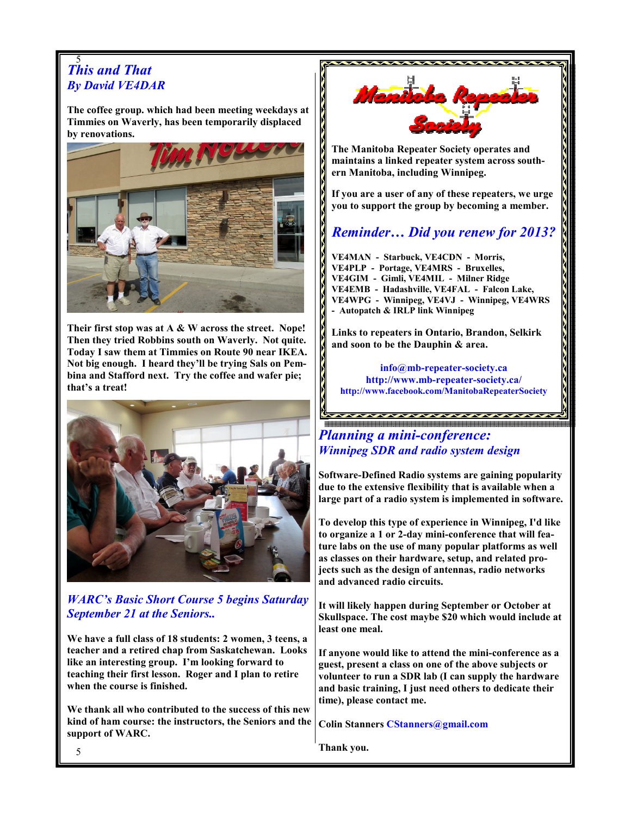#### 5 This and That By David VE4DAR

The coffee group. which had been meeting weekdays at Timmies on Waverly, has been temporarily displaced by renovations.



Their first stop was at  $A \& W$  across the street. Nope! Then they tried Robbins south on Waverly. Not quite. Today I saw them at Timmies on Route 90 near IKEA. Not big enough. I heard they'll be trying Sals on Pembina and Stafford next. Try the coffee and wafer pie; that's a treat!



# WARC's Basic Short Course 5 begins Saturday September 21 at the Seniors..

We have a full class of 18 students: 2 women, 3 teens, a teacher and a retired chap from Saskatchewan. Looks like an interesting group. I'm looking forward to teaching their first lesson. Roger and I plan to retire when the course is finished.

We thank all who contributed to the success of this new kind of ham course: the instructors, the Seniors and the support of WARC.



The Manitoba Repeater Society operates and maintains a linked repeater system across southern Manitoba, including Winnipeg.

If you are a user of any of these repeaters, we urge you to support the group by becoming a member.

# Reminder… Did you renew for 2013?

VE4MAN - Starbuck, VE4CDN - Morris, VE4PLP - Portage, VE4MRS - Bruxelles, VE4GIM - Gimli, VE4MIL - Milner Ridge VE4EMB - Hadashville, VE4FAL - Falcon Lake, VE4WPG - Winnipeg, VE4VJ - Winnipeg, VE4WRS - Autopatch & IRLP link Winnipeg

Links to repeaters in Ontario, Brandon, Selkirk and soon to be the Dauphin & area.

info@mb-repeater-society.ca http://www.mb-repeater-society.ca/ http://www.facebook.com/ManitobaRepeaterSociety

Planning a mini-conference: Winnipeg SDR and radio system design

Software-Defined Radio systems are gaining popularity due to the extensive flexibility that is available when a large part of a radio system is implemented in software.

To develop this type of experience in Winnipeg, I'd like to organize a 1 or 2-day mini-conference that will feature labs on the use of many popular platforms as well as classes on their hardware, setup, and related projects such as the design of antennas, radio networks and advanced radio circuits.

It will likely happen during September or October at Skullspace. The cost maybe \$20 which would include at least one meal.

If anyone would like to attend the mini-conference as a guest, present a class on one of the above subjects or volunteer to run a SDR lab (I can supply the hardware and basic training, I just need others to dedicate their time), please contact me.

Colin Stanners CStanners@gmail.com

Thank you.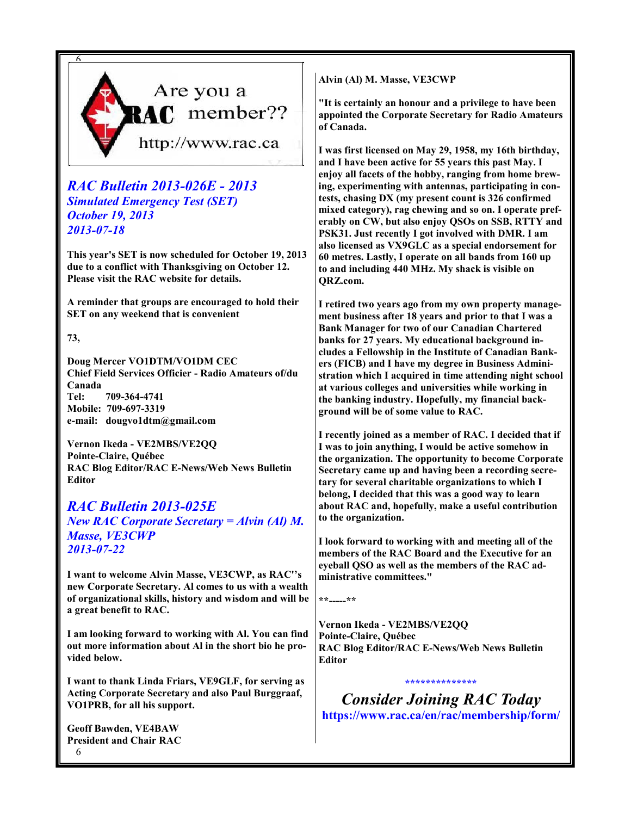

# RAC Bulletin 2013-026E - 2013 Simulated Emergency Test (SET) October 19, 2013 2013-07-18

This year's SET is now scheduled for October 19, 2013 due to a conflict with Thanksgiving on October 12. Please visit the RAC website for details.

A reminder that groups are encouraged to hold their SET on any weekend that is convenient

73,

Doug Mercer VO1DTM/VO1DM CEC Chief Field Services Officier - Radio Amateurs of/du Canada Tel: 709-364-4741 Mobile: 709-697-3319 e-mail: dougvo1dtm@gmail.com

Vernon Ikeda - VE2MBS/VE2QQ Pointe-Claire, Québec RAC Blog Editor/RAC E-News/Web News Bulletin Editor

# RAC Bulletin 2013-025E New RAC Corporate Secretary = Alvin (Al) M. Masse, VE3CWP 2013-07-22

I want to welcome Alvin Masse, VE3CWP, as RAC''s new Corporate Secretary. Al comes to us with a wealth of organizational skills, history and wisdom and will be a great benefit to RAC.

I am looking forward to working with Al. You can find out more information about Al in the short bio he provided below.

I want to thank Linda Friars, VE9GLF, for serving as Acting Corporate Secretary and also Paul Burggraaf, VO1PRB, for all his support.

6 Geoff Bawden, VE4BAW President and Chair RAC Alvin (Al) M. Masse, VE3CWP

"It is certainly an honour and a privilege to have been appointed the Corporate Secretary for Radio Amateurs of Canada.

I was first licensed on May 29, 1958, my 16th birthday, and I have been active for 55 years this past May. I enjoy all facets of the hobby, ranging from home brewing, experimenting with antennas, participating in contests, chasing DX (my present count is 326 confirmed mixed category), rag chewing and so on. I operate preferably on CW, but also enjoy QSOs on SSB, RTTY and PSK31. Just recently I got involved with DMR. I am also licensed as VX9GLC as a special endorsement for 60 metres. Lastly, I operate on all bands from 160 up to and including 440 MHz. My shack is visible on QRZ.com.

I retired two years ago from my own property management business after 18 years and prior to that I was a Bank Manager for two of our Canadian Chartered banks for 27 years. My educational background includes a Fellowship in the Institute of Canadian Bankers (FICB) and I have my degree in Business Administration which I acquired in time attending night school at various colleges and universities while working in the banking industry. Hopefully, my financial background will be of some value to RAC.

I recently joined as a member of RAC. I decided that if I was to join anything, I would be active somehow in the organization. The opportunity to become Corporate Secretary came up and having been a recording secretary for several charitable organizations to which I belong, I decided that this was a good way to learn about RAC and, hopefully, make a useful contribution to the organization.

I look forward to working with and meeting all of the members of the RAC Board and the Executive for an eyeball QSO as well as the members of the RAC administrative committees."

\*\*-----\*\*

Vernon Ikeda - VE2MBS/VE2QQ Pointe-Claire, Québec RAC Blog Editor/RAC E-News/Web News Bulletin **Editor** 

Consider Joining RAC Today https://www.rac.ca/en/rac/membership/form/

\*\*\*\*\*\*\*\*\*\*\*\*\*\*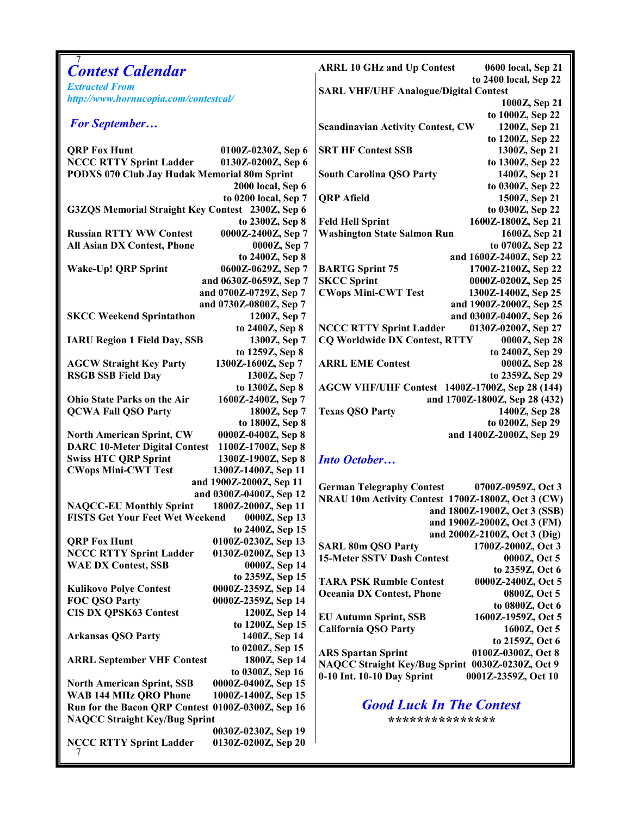| <b>Contest Calendar</b>                                    | <b>ARRL 10 GHz and Up Contest</b><br>0600 local, Sep 21               |  |  |  |  |  |  |
|------------------------------------------------------------|-----------------------------------------------------------------------|--|--|--|--|--|--|
| <b>Extracted From</b>                                      | to 2400 local, Sep 22<br><b>SARL VHF/UHF Analogue/Digital Contest</b> |  |  |  |  |  |  |
| http://www.hornucopia.com/contestcal/                      | 1000Z, Sep 21                                                         |  |  |  |  |  |  |
|                                                            | to 1000Z, Sep 22                                                      |  |  |  |  |  |  |
| <b>For September</b>                                       | <b>Scandinavian Activity Contest, CW</b><br>1200Z, Sep 21             |  |  |  |  |  |  |
|                                                            | to 1200Z, Sep 22                                                      |  |  |  |  |  |  |
| <b>QRP Fox Hunt</b><br>0100Z-0230Z, Sep 6                  | <b>SRT HF Contest SSB</b><br>1300Z, Sep 21                            |  |  |  |  |  |  |
| <b>NCCC RTTY Sprint Ladder</b><br>0130Z-0200Z, Sep 6       |                                                                       |  |  |  |  |  |  |
|                                                            | to 1300Z, Sep 22                                                      |  |  |  |  |  |  |
| PODXS 070 Club Jay Hudak Memorial 80m Sprint               | <b>South Carolina QSO Party</b><br>1400Z, Sep 21                      |  |  |  |  |  |  |
| 2000 local, Sep 6                                          | to 0300Z, Sep 22                                                      |  |  |  |  |  |  |
| to 0200 local, Sep 7                                       | <b>QRP</b> Afield<br>1500Z, Sep 21                                    |  |  |  |  |  |  |
| G3ZQS Memorial Straight Key Contest 2300Z, Sep 6           | to 0300Z, Sep 22                                                      |  |  |  |  |  |  |
| to 2300Z, Sep 8                                            | 1600Z-1800Z, Sep 21<br><b>Feld Hell Sprint</b>                        |  |  |  |  |  |  |
| <b>Russian RTTY WW Contest</b><br>0000Z-2400Z, Sep 7       | <b>Washington State Salmon Run</b><br>1600Z, Sep 21                   |  |  |  |  |  |  |
| All Asian DX Contest, Phone<br>0000Z, Sep 7                | to 0700Z, Sep 22                                                      |  |  |  |  |  |  |
| to 2400Z, Sep 8                                            | and 1600Z-2400Z, Sep 22                                               |  |  |  |  |  |  |
| Wake-Up! QRP Sprint<br>0600Z-0629Z, Sep 7                  | 1700Z-2100Z, Sep 22<br><b>BARTG Sprint 75</b>                         |  |  |  |  |  |  |
| and 0630Z-0659Z, Sep 7                                     | <b>SKCC Sprint</b><br>0000Z-0200Z, Sep 25                             |  |  |  |  |  |  |
| and 0700Z-0729Z, Sep 7                                     | <b>CWops Mini-CWT Test</b><br>1300Z-1400Z, Sep 25                     |  |  |  |  |  |  |
| and 0730Z-0800Z, Sep 7                                     | and 1900Z-2000Z, Sep 25                                               |  |  |  |  |  |  |
| <b>SKCC Weekend Sprintathon</b><br>1200Z, Sep 7            | and 0300Z-0400Z, Sep 26                                               |  |  |  |  |  |  |
| to 2400Z, Sep 8                                            | <b>NCCC RTTY Sprint Ladder</b><br>0130Z-0200Z, Sep 27                 |  |  |  |  |  |  |
| <b>IARU Region 1 Field Day, SSB</b><br>1300Z, Sep 7        | <b>CQ Worldwide DX Contest, RTTY</b><br>0000Z, Sep 28                 |  |  |  |  |  |  |
| to 1259Z, Sep 8                                            | to 2400Z, Sep 29                                                      |  |  |  |  |  |  |
| <b>AGCW Straight Key Party</b><br>1300Z-1600Z, Sep 7       | <b>ARRL EME Contest</b><br>0000Z, Sep 28                              |  |  |  |  |  |  |
| <b>RSGB SSB Field Day</b><br>1300Z, Sep 7                  | to 2359Z, Sep 29                                                      |  |  |  |  |  |  |
| to 1300Z, Sep 8                                            | AGCW VHF/UHF Contest 1400Z-1700Z, Sep 28 (144)                        |  |  |  |  |  |  |
| 1600Z-2400Z, Sep 7<br><b>Ohio State Parks on the Air</b>   | and 1700Z-1800Z, Sep 28 (432)                                         |  |  |  |  |  |  |
| <b>QCWA Fall QSO Party</b><br>1800Z, Sep 7                 | <b>Texas QSO Party</b><br>1400Z, Sep 28                               |  |  |  |  |  |  |
| to 1800Z, Sep 8                                            | to 0200Z, Sep 29                                                      |  |  |  |  |  |  |
| <b>North American Sprint, CW</b><br>0000Z-0400Z, Sep 8     | and 1400Z-2000Z, Sep 29                                               |  |  |  |  |  |  |
| <b>DARC 10-Meter Digital Contest</b><br>1100Z-1700Z, Sep 8 |                                                                       |  |  |  |  |  |  |
| <b>Swiss HTC QRP Sprint</b><br>1300Z-1900Z, Sep 8          | <b>Into October</b>                                                   |  |  |  |  |  |  |
| <b>CWops Mini-CWT Test</b><br>1300Z-1400Z, Sep 11          |                                                                       |  |  |  |  |  |  |
| and 1900Z-2000Z, Sep 11                                    | <b>German Telegraphy Contest</b><br>0700Z-0959Z, Oct 3                |  |  |  |  |  |  |
| and 0300Z-0400Z, Sep 12                                    | NRAU 10m Activity Contest 1700Z-1800Z, Oct 3 (CW)                     |  |  |  |  |  |  |
| <b>NAQCC-EU Monthly Sprint</b><br>1800Z-2000Z, Sep 11      | and 1800Z-1900Z, Oct 3 (SSB)                                          |  |  |  |  |  |  |
| FISTS Get Your Feet Wet Weekend 0000Z, Sep 13              | and 1900Z-2000Z, Oct 3 (FM)                                           |  |  |  |  |  |  |
| to 2400Z, Sep 15                                           | and 2000Z-2100Z, Oct 3 (Dig)                                          |  |  |  |  |  |  |
| <b>QRP Fox Hunt</b><br>0100Z-0230Z, Sep 13                 | <b>SARL 80m QSO Party</b><br>1700Z-2000Z, Oct 3                       |  |  |  |  |  |  |
| <b>NCCC RTTY Sprint Ladder</b><br>0130Z-0200Z, Sep 13      | <b>15-Meter SSTV Dash Contest</b><br>0000Z, Oct 5                     |  |  |  |  |  |  |
| <b>WAE DX Contest, SSB</b><br>0000Z, Sep 14                | to 2359Z, Oct 6                                                       |  |  |  |  |  |  |
| to 2359Z, Sep 15                                           | 0000Z-2400Z, Oct 5<br><b>TARA PSK Rumble Contest</b>                  |  |  |  |  |  |  |
| <b>Kulikovo Polye Contest</b><br>0000Z-2359Z, Sep 14       | <b>Oceania DX Contest, Phone</b><br>0800Z, Oct 5                      |  |  |  |  |  |  |
| FOC QSO Party<br>0000Z-2359Z, Sep 14                       | to 0800Z, Oct 6                                                       |  |  |  |  |  |  |
| <b>CIS DX QPSK63 Contest</b><br>1200Z, Sep 14              | <b>EU Autumn Sprint, SSB</b><br>1600Z-1959Z, Oct 5                    |  |  |  |  |  |  |
| to 1200Z, Sep 15                                           | <b>California QSO Party</b><br>1600Z, Oct 5                           |  |  |  |  |  |  |
| <b>Arkansas QSO Party</b><br>1400Z, Sep 14                 | to 2159Z, Oct 6                                                       |  |  |  |  |  |  |
| to 0200Z, Sep 15                                           | 0100Z-0300Z, Oct 8<br><b>ARS Spartan Sprint</b>                       |  |  |  |  |  |  |
| 1800Z, Sep 14<br><b>ARRL September VHF Contest</b>         | NAQCC Straight Key/Bug Sprint 0030Z-0230Z, Oct 9                      |  |  |  |  |  |  |
| to 0300Z, Sep 16                                           | 0-10 Int. 10-10 Day Sprint<br>0001Z-2359Z, Oct 10                     |  |  |  |  |  |  |
| 0000Z-0400Z, Sep 15<br><b>North American Sprint, SSB</b>   |                                                                       |  |  |  |  |  |  |
| <b>WAB 144 MHz QRO Phone</b><br>1000Z-1400Z, Sep 15        |                                                                       |  |  |  |  |  |  |
| Run for the Bacon QRP Contest 0100Z-0300Z, Sep 16          | <b>Good Luck In The Contest</b>                                       |  |  |  |  |  |  |
| <b>NAQCC Straight Key/Bug Sprint</b>                       | * * * * * * * * * * * * * * * * * *                                   |  |  |  |  |  |  |
| 0030Z-0230Z, Sep 19                                        |                                                                       |  |  |  |  |  |  |
| <b>NCCC RTTY Sprint Ladder</b><br>0130Z-0200Z, Sep 20      |                                                                       |  |  |  |  |  |  |
|                                                            |                                                                       |  |  |  |  |  |  |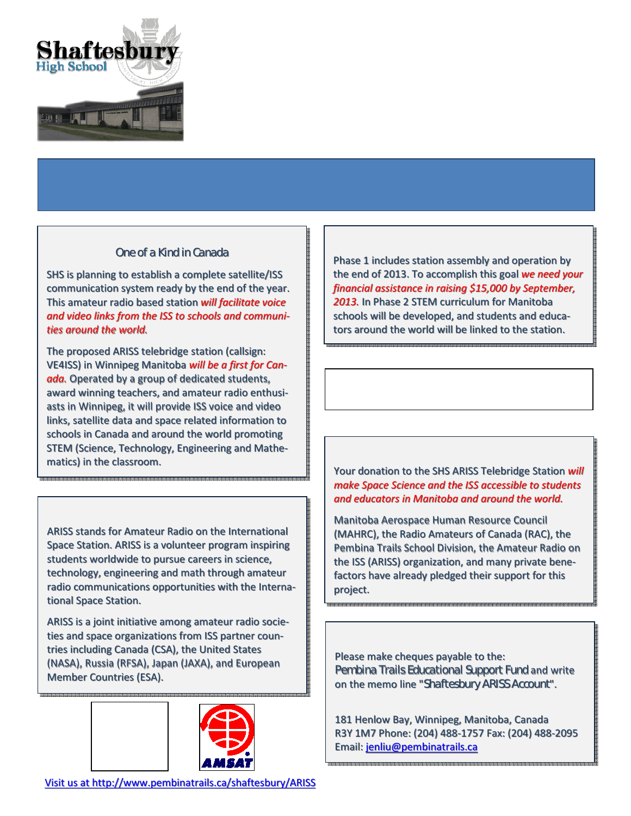

SHS is planning to establish a complete satellite/ISS communication system ready by the end of the year. This amateur radio based station will facilitate voice and video links from the ISS to schools and communities around the world.

The proposed ARISS telebridge station (callsign: VE4ISS) in Winnipeg Manitoba will be a first for Canada. Operated by a group of dedicated students, award winning teachers, and amateur radio enthusiasts in Winnipeg, it will provide ISS voice and video links, satellite data and space related information to schools in Canada and around the world promoting STEM (Science, Technology, Engineering and Mathematics) in the classroom.

ARISS stands for Amateur Radio on the International Space Station. ARISS is a volunteer program inspiring students worldwide to pursue careers in science, technology, engineering and math through amateur radio communications opportunities with the International Space Station.



'

ARISS is a joint initiative among amateur radio societies and space organizations from ISS partner countries including Canada (CSA), the United States (NASA), Russia (RFSA), Japan (JAXA), and European Member Countries (ESA).



# !" ! # \$

Phase 1 includes station assembly and operation by the end of 2013. To accomplish this goal we need your financial assistance in raising \$15,000 by September, 2013. In Phase 2 STEM curriculum for Manitoba schools will be developed, and students and educators around the world will be linked to the station.

> %- &

Your donation to the SHS ARISS Telebridge Station will make Space Science and the ISS accessible to students and educators in Manitoba and around the world.

Manitoba Aerospace Human Resource Council (MAHRC), the Radio Amateurs of Canada (RAC), the Pembina Trails School Division, the Amateur Radio on the ISS (ARISS) organization, and many private benefactors have already pledged their support for this project.

 $( %)$ 

Please make cheques payable to the:

on the memo line "

and write

 $\mathbf{I}$  $\%$  \*

181 Henlow Bay, Winnipeg, Manitoba, Canada R3Y 1M7 Phone: (204) 488-1757 Fax: (204) 488-2095 Email: jenliu@pembinatrails.ca